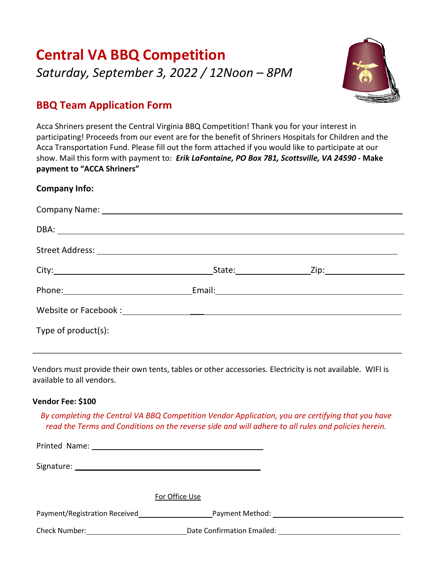# **Central VA BBQ Competition** *Saturday, September 3, 2022 / 12Noon – 8PM*



### **BBQ Team Application Form**

Acca Shriners present the Central Virginia BBQ Competition! Thank you for your interest in participating! Proceeds from our event are for the benefit of Shriners Hospitals for Children and the Acca Transportation Fund. Please fill out the form attached if you would like to participate at our show. Mail this form with payment to: *Erik LaFontaine, PO Box 781, Scottsville, VA 24590 -* **Make payment to "ACCA Shriners"**

#### **Company Info:**

| Type of product(s): |  |
|---------------------|--|

Vendors must provide their own tents, tables or other accessories. Electricity is not available. WIFI is available to all vendors.

\_\_\_\_\_\_\_\_\_\_\_\_\_\_\_\_\_\_\_\_\_\_\_\_\_\_\_\_\_\_\_\_\_\_\_\_\_\_\_\_\_\_\_\_\_\_\_\_\_\_\_\_\_\_\_\_\_\_\_\_\_\_\_\_\_\_\_\_\_\_\_\_\_\_\_\_\_\_\_\_\_\_\_\_\_\_\_\_\_\_\_\_\_

#### **Vendor Fee: \$100**

*By completing the Central VA BBQ Competition Vendor Application, you are certifying that you have read the Terms and Conditions on the reverse side and will adhere to all rules and policies herein.*

Printed Name: Signature: For Office Use Payment/Registration Received Payment Method: Check Number: Date Confirmation Emailed: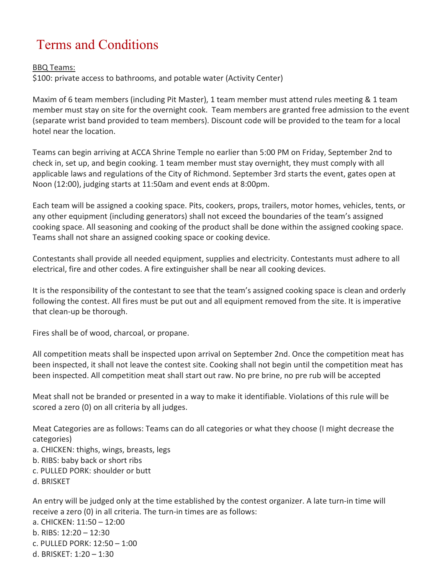## Terms and Conditions

#### BBQ Teams:

\$100: private access to bathrooms, and potable water (Activity Center)

Maxim of 6 team members (including Pit Master), 1 team member must attend rules meeting & 1 team member must stay on site for the overnight cook. Team members are granted free admission to the event (separate wrist band provided to team members). Discount code will be provided to the team for a local hotel near the location.

Teams can begin arriving at ACCA Shrine Temple no earlier than 5:00 PM on Friday, September 2nd to check in, set up, and begin cooking. 1 team member must stay overnight, they must comply with all applicable laws and regulations of the City of Richmond. September 3rd starts the event, gates open at Noon (12:00), judging starts at 11:50am and event ends at 8:00pm.

Each team will be assigned a cooking space. Pits, cookers, props, trailers, motor homes, vehicles, tents, or any other equipment (including generators) shall not exceed the boundaries of the team's assigned cooking space. All seasoning and cooking of the product shall be done within the assigned cooking space. Teams shall not share an assigned cooking space or cooking device.

Contestants shall provide all needed equipment, supplies and electricity. Contestants must adhere to all electrical, fire and other codes. A fire extinguisher shall be near all cooking devices.

It is the responsibility of the contestant to see that the team's assigned cooking space is clean and orderly following the contest. All fires must be put out and all equipment removed from the site. It is imperative that clean-up be thorough.

Fires shall be of wood, charcoal, or propane.

All competition meats shall be inspected upon arrival on September 2nd. Once the competition meat has been inspected, it shall not leave the contest site. Cooking shall not begin until the competition meat has been inspected. All competition meat shall start out raw. No pre brine, no pre rub will be accepted

Meat shall not be branded or presented in a way to make it identifiable. Violations of this rule will be scored a zero (0) on all criteria by all judges.

Meat Categories are as follows: Teams can do all categories or what they choose (I might decrease the categories)

a. CHICKEN: thighs, wings, breasts, legs

- b. RIBS: baby back or short ribs
- c. PULLED PORK: shoulder or butt
- d. BRISKET

An entry will be judged only at the time established by the contest organizer. A late turn-in time will receive a zero (0) in all criteria. The turn-in times are as follows:

a. CHICKEN: 11:50 – 12:00

- b. RIBS: 12:20 12:30
- c. PULLED PORK: 12:50 1:00
- d. BRISKET: 1:20 1:30